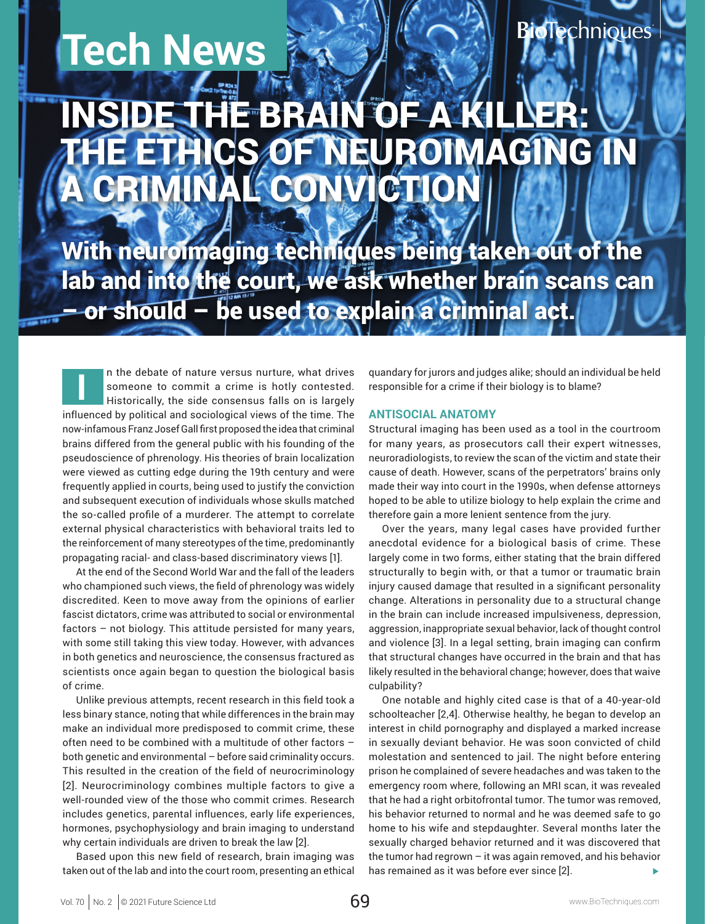**Tech News**

# **BioTechnioues**

# DE THE BRAIN OF A KIL THE ETHICS OF NEUROIMAGING IN CRIMINAL CONVICTION

With neuroimaging techniques being taken out of the lab and into the court, we ask whether brain scans can – or should – be used to explain a criminal act.

**I** n the debate of nature versus nurture, what drives someone to commit a crime is hotly contested. Historically, the side consensus falls on is largely influenced by political and sociological views of the time. The now-infamous Franz Josef Gall first proposed the idea that criminal brains differed from the general public with his founding of the pseudoscience of phrenology. His theories of brain localization were viewed as cutting edge during the 19th century and were frequently applied in courts, being used to justify the conviction and subsequent execution of individuals whose skulls matched the so-called profile of a murderer. The attempt to correlate external physical characteristics with behavioral traits led to the reinforcement of many stereotypes of the time, predominantly propagating racial- and class-based discriminatory views [1].

At the end of the Second World War and the fall of the leaders who championed such views, the field of phrenology was widely discredited. Keen to move away from the opinions of earlier fascist dictators, crime was attributed to social or environmental factors – not biology. This attitude persisted for many years, with some still taking this view today. However, with advances in both genetics and neuroscience, the consensus fractured as scientists once again began to question the biological basis of crime.

Unlike previous attempts, recent research in this field took a less binary stance, noting that while differences in the brain may make an individual more predisposed to commit crime, these often need to be combined with a multitude of other factors – both genetic and environmental – before said criminality occurs. This resulted in the creation of the field of neurocriminology [2]. Neurocriminology combines multiple factors to give a well-rounded view of the those who commit crimes. Research includes genetics, parental influences, early life experiences, hormones, psychophysiology and brain imaging to understand why certain individuals are driven to break the law [2].

Based upon this new field of research, brain imaging was taken out of the lab and into the court room, presenting an ethical quandary for jurors and judges alike; should an individual be held responsible for a crime if their biology is to blame?

## **ANTISOCIAL ANATOMY**

Structural imaging has been used as a tool in the courtroom for many years, as prosecutors call their expert witnesses, neuroradiologists, to review the scan of the victim and state their cause of death. However, scans of the perpetrators' brains only made their way into court in the 1990s, when defense attorneys hoped to be able to utilize biology to help explain the crime and therefore gain a more lenient sentence from the jury.

Over the years, many legal cases have provided further anecdotal evidence for a biological basis of crime. These largely come in two forms, either stating that the brain differed structurally to begin with, or that a tumor or traumatic brain injury caused damage that resulted in a significant personality change. Alterations in personality due to a structural change in the brain can include increased impulsiveness, depression, aggression, inappropriate sexual behavior, lack of thought control and violence [3]. In a legal setting, brain imaging can confirm that structural changes have occurred in the brain and that has likely resulted in the behavioral change; however, does that waive culpability?

One notable and highly cited case is that of a 40-year-old schoolteacher [2,4]. Otherwise healthy, he began to develop an interest in child pornography and displayed a marked increase in sexually deviant behavior. He was soon convicted of child molestation and sentenced to jail. The night before entering prison he complained of severe headaches and was taken to the emergency room where, following an MRI scan, it was revealed that he had a right orbitofrontal tumor. The tumor was removed, his behavior returned to normal and he was deemed safe to go home to his wife and stepdaughter. Several months later the sexually charged behavior returned and it was discovered that the tumor had regrown – it was again removed, and his behavior has remained as it was before ever since [2].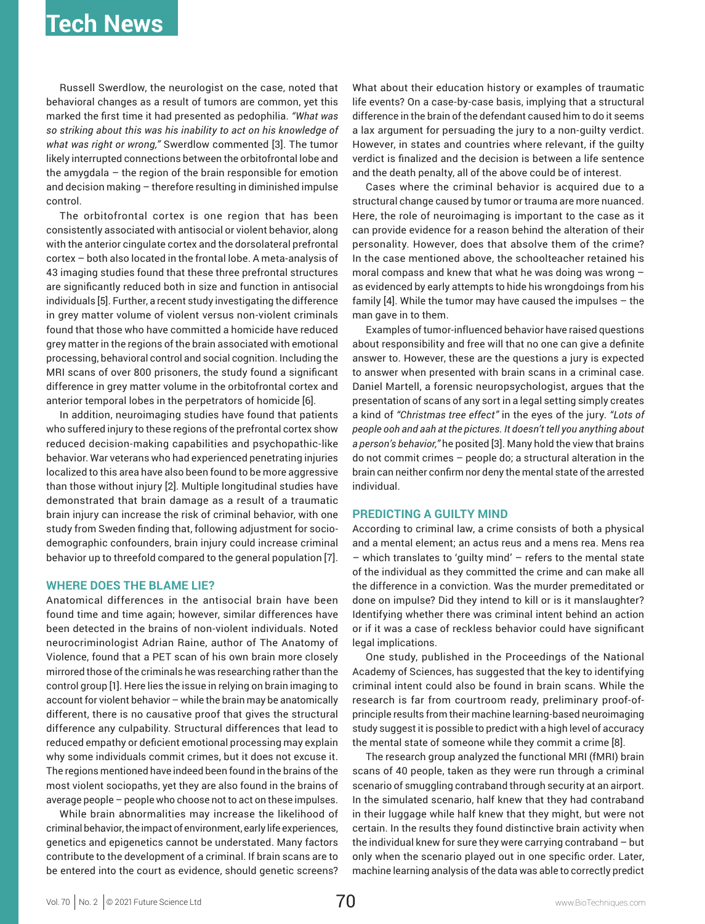Russell Swerdlow, the neurologist on the case, noted that behavioral changes as a result of tumors are common, yet this marked the first time it had presented as pedophilia. *"What was so striking about this was his inability to act on his knowledge of what was right or wrong,"* Swerdlow commented [3]. The tumor likely interrupted connections between the orbitofrontal lobe and the amygdala – the region of the brain responsible for emotion and decision making – therefore resulting in diminished impulse control.

The orbitofrontal cortex is one region that has been consistently associated with antisocial or violent behavior, along with the anterior cingulate cortex and the dorsolateral prefrontal cortex – both also located in the frontal lobe. A meta-analysis of 43 imaging studies found that these three prefrontal structures are significantly reduced both in size and function in antisocial individuals [5]. Further, a recent study investigating the difference in grey matter volume of violent versus non-violent criminals found that those who have committed a homicide have reduced grey matter in the regions of the brain associated with emotional processing, behavioral control and social cognition. Including the MRI scans of over 800 prisoners, the study found a significant difference in grey matter volume in the orbitofrontal cortex and anterior temporal lobes in the perpetrators of homicide [6].

In addition, neuroimaging studies have found that patients who suffered injury to these regions of the prefrontal cortex show reduced decision-making capabilities and psychopathic-like behavior. War veterans who had experienced penetrating injuries localized to this area have also been found to be more aggressive than those without injury [2]. Multiple longitudinal studies have demonstrated that brain damage as a result of a traumatic brain injury can increase the risk of criminal behavior, with one study from Sweden finding that, following adjustment for sociodemographic confounders, brain injury could increase criminal behavior up to threefold compared to the general population [7].

#### **WHERE DOES THE BLAME LIE?**

Anatomical differences in the antisocial brain have been found time and time again; however, similar differences have been detected in the brains of non-violent individuals. Noted neurocriminologist Adrian Raine, author of The Anatomy of Violence, found that a PET scan of his own brain more closely mirrored those of the criminals he was researching rather than the control group [1]. Here lies the issue in relying on brain imaging to account for violent behavior – while the brain may be anatomically different, there is no causative proof that gives the structural difference any culpability. Structural differences that lead to reduced empathy or deficient emotional processing may explain why some individuals commit crimes, but it does not excuse it. The regions mentioned have indeed been found in the brains of the most violent sociopaths, yet they are also found in the brains of average people – people who choose not to act on these impulses.

While brain abnormalities may increase the likelihood of criminal behavior, the impact of environment, early life experiences, genetics and epigenetics cannot be understated. Many factors contribute to the development of a criminal. If brain scans are to be entered into the court as evidence, should genetic screens? What about their education history or examples of traumatic life events? On a case-by-case basis, implying that a structural difference in the brain of the defendant caused him to do it seems a lax argument for persuading the jury to a non-guilty verdict. However, in states and countries where relevant, if the guilty verdict is finalized and the decision is between a life sentence and the death penalty, all of the above could be of interest.

Cases where the criminal behavior is acquired due to a structural change caused by tumor or trauma are more nuanced. Here, the role of neuroimaging is important to the case as it can provide evidence for a reason behind the alteration of their personality. However, does that absolve them of the crime? In the case mentioned above, the schoolteacher retained his moral compass and knew that what he was doing was wrong – as evidenced by early attempts to hide his wrongdoings from his family [4]. While the tumor may have caused the impulses – the man gave in to them.

Examples of tumor-influenced behavior have raised questions about responsibility and free will that no one can give a definite answer to. However, these are the questions a jury is expected to answer when presented with brain scans in a criminal case. Daniel Martell, a forensic neuropsychologist, argues that the presentation of scans of any sort in a legal setting simply creates a kind of *"Christmas tree effect"* in the eyes of the jury. *"Lots of people ooh and aah at the pictures. It doesn't tell you anything about a person's behavior,"* he posited [3]. Many hold the view that brains do not commit crimes – people do; a structural alteration in the brain can neither confirm nor deny the mental state of the arrested individual.

#### **PREDICTING A GUILTY MIND**

According to criminal law, a crime consists of both a physical and a mental element; an actus reus and a mens rea. Mens rea – which translates to 'guilty mind' – refers to the mental state of the individual as they committed the crime and can make all the difference in a conviction. Was the murder premeditated or done on impulse? Did they intend to kill or is it manslaughter? Identifying whether there was criminal intent behind an action or if it was a case of reckless behavior could have significant legal implications.

One study, published in the Proceedings of the National Academy of Sciences, has suggested that the key to identifying criminal intent could also be found in brain scans. While the research is far from courtroom ready, preliminary proof-ofprinciple results from their machine learning-based neuroimaging study suggest it is possible to predict with a high level of accuracy the mental state of someone while they commit a crime [8].

The research group analyzed the functional MRI (fMRI) brain scans of 40 people, taken as they were run through a criminal scenario of smuggling contraband through security at an airport. In the simulated scenario, half knew that they had contraband in their luggage while half knew that they might, but were not certain. In the results they found distinctive brain activity when the individual knew for sure they were carrying contraband – but only when the scenario played out in one specific order. Later, machine learning analysis of the data was able to correctly predict